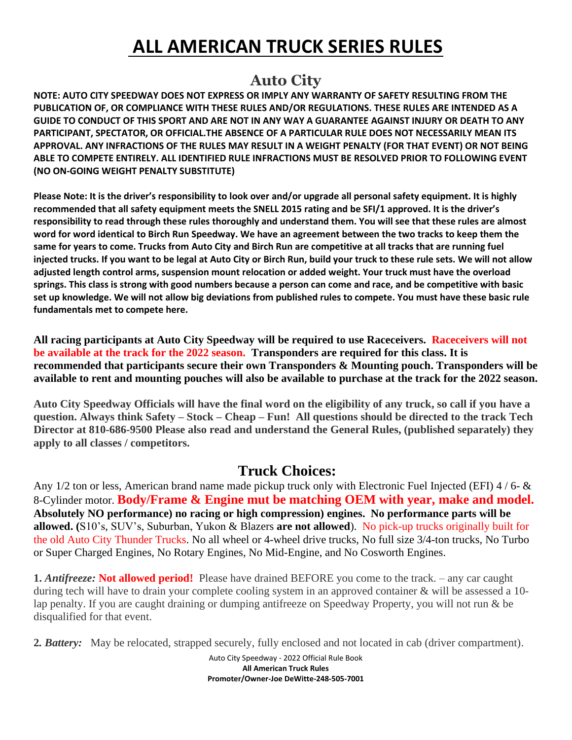# **ALL AMERICAN TRUCK SERIES RULES**

## **Auto City**

**NOTE: AUTO CITY SPEEDWAY DOES NOT EXPRESS OR IMPLY ANY WARRANTY OF SAFETY RESULTING FROM THE PUBLICATION OF, OR COMPLIANCE WITH THESE RULES AND/OR REGULATIONS. THESE RULES ARE INTENDED AS A GUIDE TO CONDUCT OF THIS SPORT AND ARE NOT IN ANY WAY A GUARANTEE AGAINST INJURY OR DEATH TO ANY PARTICIPANT, SPECTATOR, OR OFFICIAL.THE ABSENCE OF A PARTICULAR RULE DOES NOT NECESSARILY MEAN ITS APPROVAL. ANY INFRACTIONS OF THE RULES MAY RESULT IN A WEIGHT PENALTY (FOR THAT EVENT) OR NOT BEING ABLE TO COMPETE ENTIRELY. ALL IDENTIFIED RULE INFRACTIONS MUST BE RESOLVED PRIOR TO FOLLOWING EVENT (NO ON-GOING WEIGHT PENALTY SUBSTITUTE)**

**Please Note: It is the driver's responsibility to look over and/or upgrade all personal safety equipment. It is highly recommended that all safety equipment meets the SNELL 2015 rating and be SFI/1 approved. It is the driver's responsibility to read through these rules thoroughly and understand them. You will see that these rules are almost word for word identical to Birch Run Speedway. We have an agreement between the two tracks to keep them the same for years to come. Trucks from Auto City and Birch Run are competitive at all tracks that are running fuel injected trucks. If you want to be legal at Auto City or Birch Run, build your truck to these rule sets. We will not allow adjusted length control arms, suspension mount relocation or added weight. Your truck must have the overload springs. This class is strong with good numbers because a person can come and race, and be competitive with basic set up knowledge. We will not allow big deviations from published rules to compete. You must have these basic rule fundamentals met to compete here.** 

**All racing participants at Auto City Speedway will be required to use Raceceivers. Raceceivers will not be available at the track for the 2022 season. Transponders are required for this class. It is recommended that participants secure their own Transponders & Mounting pouch. Transponders will be available to rent and mounting pouches will also be available to purchase at the track for the 2022 season.**

**Auto City Speedway Officials will have the final word on the eligibility of any truck, so call if you have a question. Always think Safety – Stock – Cheap – Fun! All questions should be directed to the track Tech Director at 810-686-9500 Please also read and understand the General Rules, (published separately) they apply to all classes / competitors.**

### **Truck Choices:**

Any 1/2 ton or less, American brand name made pickup truck only with Electronic Fuel Injected (EFI) 4 / 6- & 8-Cylinder motor. **Body/Frame & Engine mut be matching OEM with year, make and model. Absolutely NO performance) no racing or high compression) engines. No performance parts will be allowed. (**S10's, SUV's, Suburban, Yukon & Blazers **are not allowed**). No pick-up trucks originally built for the old Auto City Thunder Trucks. No all wheel or 4-wheel drive trucks, No full size 3/4-ton trucks, No Turbo or Super Charged Engines, No Rotary Engines, No Mid-Engine, and No Cosworth Engines.

**1.** *Antifreeze:* **Not allowed period!** Please have drained BEFORE you come to the track. – any car caught during tech will have to drain your complete cooling system in an approved container & will be assessed a 10 lap penalty. If you are caught draining or dumping antifreeze on Speedway Property, you will not run & be disqualified for that event.

**2***. Battery:* May be relocated, strapped securely, fully enclosed and not located in cab (driver compartment).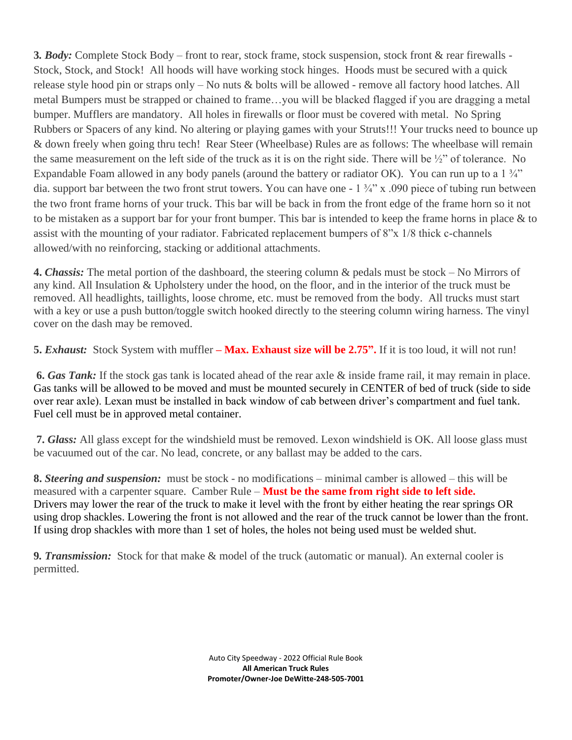**3***. Body:* Complete Stock Body – front to rear, stock frame, stock suspension, stock front & rear firewalls - Stock, Stock, and Stock! All hoods will have working stock hinges. Hoods must be secured with a quick release style hood pin or straps only – No nuts & bolts will be allowed - remove all factory hood latches. All metal Bumpers must be strapped or chained to frame…you will be blacked flagged if you are dragging a metal bumper. Mufflers are mandatory. All holes in firewalls or floor must be covered with metal. No Spring Rubbers or Spacers of any kind. No altering or playing games with your Struts!!! Your trucks need to bounce up & down freely when going thru tech! Rear Steer (Wheelbase) Rules are as follows: The wheelbase will remain the same measurement on the left side of the truck as it is on the right side. There will be ½" of tolerance. No Expandable Foam allowed in any body panels (around the battery or radiator OK). You can run up to a 1  $\frac{3}{4}$ " dia. support bar between the two front strut towers. You can have one - 1 ¾" x .090 piece of tubing run between the two front frame horns of your truck. This bar will be back in from the front edge of the frame horn so it not to be mistaken as a support bar for your front bumper. This bar is intended to keep the frame horns in place & to assist with the mounting of your radiator. Fabricated replacement bumpers of 8"x 1/8 thick c-channels allowed/with no reinforcing, stacking or additional attachments.

**4.** *Chassis:* The metal portion of the dashboard, the steering column & pedals must be stock – No Mirrors of any kind. All Insulation & Upholstery under the hood, on the floor, and in the interior of the truck must be removed. All headlights, taillights, loose chrome, etc. must be removed from the body. All trucks must start with a key or use a push button/toggle switch hooked directly to the steering column wiring harness. The vinyl cover on the dash may be removed.

**5.** *Exhaust:* Stock System with muffler **– Max. Exhaust size will be 2.75".** If it is too loud, it will not run!

**6.** *Gas Tank:* If the stock gas tank is located ahead of the rear axle & inside frame rail, it may remain in place. Gas tanks will be allowed to be moved and must be mounted securely in CENTER of bed of truck (side to side over rear axle). Lexan must be installed in back window of cab between driver's compartment and fuel tank. Fuel cell must be in approved metal container.

**7.** *Glass:* All glass except for the windshield must be removed. Lexon windshield is OK. All loose glass must be vacuumed out of the car. No lead, concrete, or any ballast may be added to the cars.

**8.** *Steering and suspension:* must be stock - no modifications – minimal camber is allowed – this will be measured with a carpenter square. Camber Rule – **Must be the same from right side to left side.** Drivers may lower the rear of the truck to make it level with the front by either heating the rear springs OR using drop shackles. Lowering the front is not allowed and the rear of the truck cannot be lower than the front. If using drop shackles with more than 1 set of holes, the holes not being used must be welded shut.

**9***. Transmission:* Stock for that make & model of the truck (automatic or manual). An external cooler is permitted.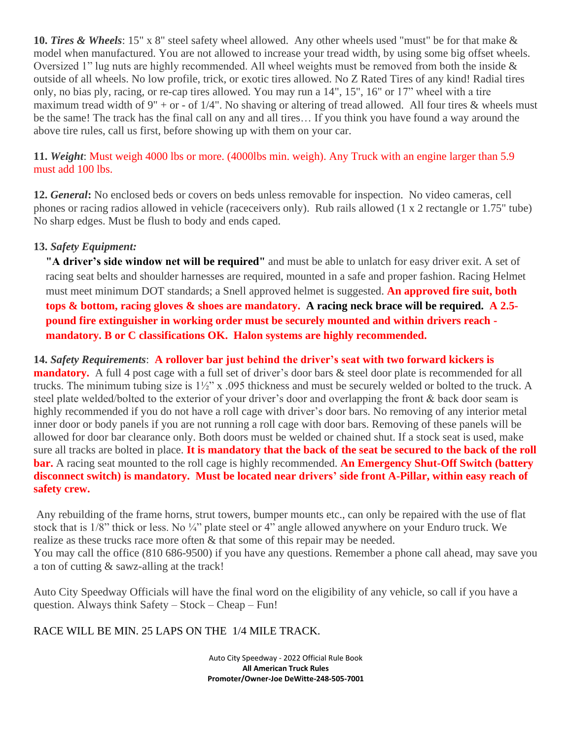**10.** *Tires & Wheels*: 15" x 8" steel safety wheel allowed. Any other wheels used "must" be for that make & model when manufactured. You are not allowed to increase your tread width, by using some big offset wheels. Oversized 1" lug nuts are highly recommended. All wheel weights must be removed from both the inside & outside of all wheels. No low profile, trick, or exotic tires allowed. No Z Rated Tires of any kind! Radial tires only, no bias ply, racing, or re-cap tires allowed. You may run a 14", 15", 16" or 17" wheel with a tire maximum tread width of  $9'' +$  or - of  $1/4''$ . No shaving or altering of tread allowed. All four tires & wheels must be the same! The track has the final call on any and all tires… If you think you have found a way around the above tire rules, call us first, before showing up with them on your car.

#### **11.** *Weight*: Must weigh 4000 lbs or more. (4000lbs min. weigh). Any Truck with an engine larger than 5.9 must add 100 lbs.

**12.** *General***:** No enclosed beds or covers on beds unless removable for inspection. No video cameras, cell phones or racing radios allowed in vehicle (raceceivers only). Rub rails allowed (1 x 2 rectangle or 1.75" tube) No sharp edges. Must be flush to body and ends caped.

#### **13.** *Safety Equipment:*

**"A driver's side window net will be required"** and must be able to unlatch for easy driver exit. A set of racing seat belts and shoulder harnesses are required, mounted in a safe and proper fashion. Racing Helmet must meet minimum DOT standards; a Snell approved helmet is suggested. **An approved fire suit, both tops & bottom, racing gloves & shoes are mandatory. A racing neck brace will be required. A 2.5 pound fire extinguisher in working order must be securely mounted and within drivers reach mandatory. B or C classifications OK. Halon systems are highly recommended.**

**14.** *Safety Requirements*: **A rollover bar just behind the driver's seat with two forward kickers is mandatory.** A full 4 post cage with a full set of driver's door bars & steel door plate is recommended for all trucks. The minimum tubing size is 1½" x .095 thickness and must be securely welded or bolted to the truck. A steel plate welded/bolted to the exterior of your driver's door and overlapping the front & back door seam is highly recommended if you do not have a roll cage with driver's door bars. No removing of any interior metal inner door or body panels if you are not running a roll cage with door bars. Removing of these panels will be allowed for door bar clearance only. Both doors must be welded or chained shut. If a stock seat is used, make sure all tracks are bolted in place. **It is mandatory that the back of the seat be secured to the back of the roll bar.** A racing seat mounted to the roll cage is highly recommended. **An Emergency Shut-Off Switch (battery disconnect switch) is mandatory. Must be located near drivers' side front A-Pillar, within easy reach of safety crew.**

Any rebuilding of the frame horns, strut towers, bumper mounts etc., can only be repaired with the use of flat stock that is 1/8" thick or less. No  $\frac{1}{4}$ " plate steel or 4" angle allowed anywhere on your Enduro truck. We realize as these trucks race more often & that some of this repair may be needed. You may call the office (810 686-9500) if you have any questions. Remember a phone call ahead, may save you a ton of cutting & sawz-alling at the track!

Auto City Speedway Officials will have the final word on the eligibility of any vehicle, so call if you have a question. Always think Safety – Stock – Cheap – Fun!

#### RACE WILL BE MIN. 25 LAPS ON THE 1/4 MILE TRACK.